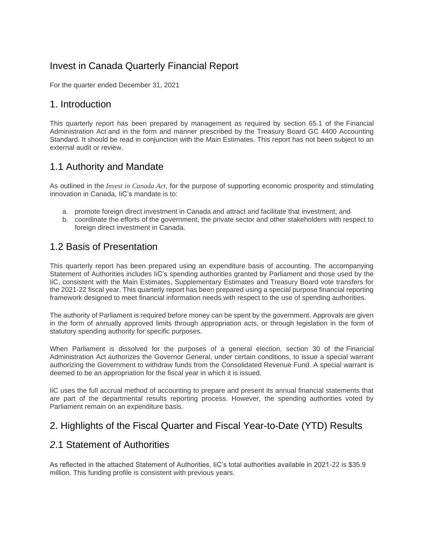# Invest in Canada Quarterly Financial Report

For the quarter ended December 31, 2021

### 1. Introduction

This quarterly report has been prepared by management as required by section 65.1 of the Financial Administration Act and in the form and manner prescribed by the Treasury Board GC 4400 Accounting Standard. It should be read in conjunction with the Main Estimates. This report has not been subject to an external audit or review.

## 1.1 Authority and Mandate

As outlined in the *[Invest in Canada Act](http://laws-lois.justice.gc.ca/eng/acts/I-21.5/page-1.html)*, for the purpose of supporting economic prosperity and stimulating innovation in Canada, IiC's mandate is to:

- a. promote foreign direct investment in Canada and attract and facilitate that investment; and
- b. coordinate the efforts of the government, the private sector and other stakeholders with respect to foreign direct investment in Canada.

## 1.2 Basis of Presentation

This quarterly report has been prepared using an expenditure basis of accounting. The accompanying Statement of Authorities includes IiC's spending authorities granted by Parliament and those used by the IiC, consistent with the Main Estimates, Supplementary Estimates and Treasury Board vote transfers for the 2021-22 fiscal year. This quarterly report has been prepared using a special purpose financial reporting framework designed to meet financial information needs with respect to the use of spending authorities.

The authority of Parliament is required before money can be spent by the government. Approvals are given in the form of annually approved limits through appropriation acts, or through legislation in the form of statutory spending authority for specific purposes.

When Parliament is dissolved for the purposes of a general election, section 30 of the Financial Administration Act authorizes the Governor General, under certain conditions, to issue a special warrant authorizing the Government to withdraw funds from the Consolidated Revenue Fund. A special warrant is deemed to be an appropriation for the fiscal year in which it is issued.

IiC uses the full accrual method of accounting to prepare and present its annual financial statements that are part of the departmental results reporting process. However, the spending authorities voted by Parliament remain on an expenditure basis.

## 2. Highlights of the Fiscal Quarter and Fiscal Year-to-Date (YTD) Results

## *2*.1 Statement of Authorities

As reflected in the attached Statement of Authorities, IiC's total authorities available in 2021-22 is \$35.9 million. This funding profile is consistent with previous years.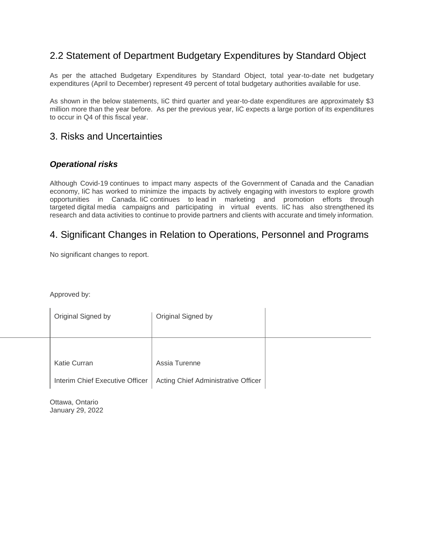## 2.2 Statement of Department Budgetary Expenditures by Standard Object

As per the attached Budgetary Expenditures by Standard Object, total year-to-date net budgetary expenditures (April to December) represent 49 percent of total budgetary authorities available for use.

As shown in the below statements, IiC third quarter and year-to-date expenditures are approximately \$3 million more than the year before. As per the previous year, IiC expects a large portion of its expenditures to occur in Q4 of this fiscal year.

### 3. Risks and Uncertainties

### *Operational risks*

Although Covid-19 continues to impact many aspects of the Government of Canada and the Canadian economy, IiC has worked to minimize the impacts by actively engaging with investors to explore growth opportunities in Canada. IiC continues to lead in marketing and promotion efforts through targeted digital media campaigns and participating in virtual events. IiC has also strengthened its research and data activities to continue to provide partners and clients with accurate and timely information.

## 4. Significant Changes in Relation to Operations, Personnel and Programs

No significant changes to report.

Approved by:

| Original Signed by              | Original Signed by                  |  |
|---------------------------------|-------------------------------------|--|
|                                 |                                     |  |
|                                 |                                     |  |
| <b>Katie Curran</b>             | Assia Turenne                       |  |
| Interim Chief Executive Officer | Acting Chief Administrative Officer |  |

Ottawa, Ontario January 29, 2022